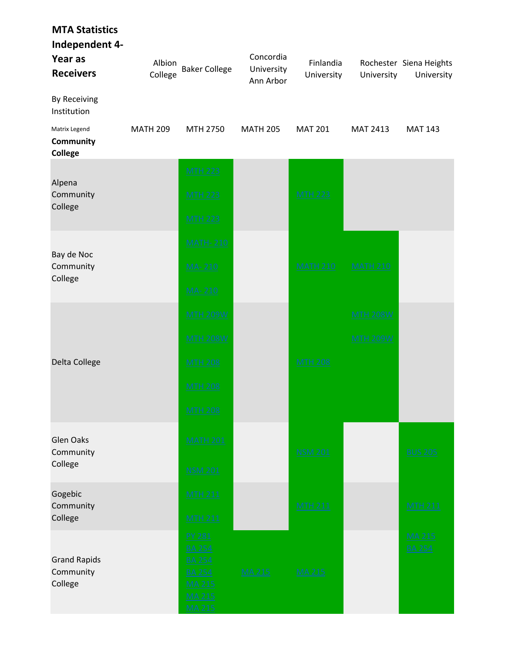| <b>MTA Statistics</b><br>Independent 4-<br>Year as<br><b>Receivers</b> | Albion<br>College | <b>Baker College</b>                                                                                                | Concordia<br>University<br>Ann Arbor | Finlandia<br>University | University                         | Rochester Siena Heights<br>University |
|------------------------------------------------------------------------|-------------------|---------------------------------------------------------------------------------------------------------------------|--------------------------------------|-------------------------|------------------------------------|---------------------------------------|
| By Receiving<br>Institution                                            |                   |                                                                                                                     |                                      |                         |                                    |                                       |
| Matrix Legend<br>Community<br><b>College</b>                           | <b>MATH 209</b>   | MTH 2750                                                                                                            | <b>MATH 205</b>                      | <b>MAT 201</b>          | MAT 2413                           | <b>MAT 143</b>                        |
| Alpena<br>Community<br>College                                         |                   | <b>MTH 223</b><br><b>MTH 223</b><br><b>MTH 223</b>                                                                  |                                      | <b>MTH 223</b>          |                                    |                                       |
| Bay de Noc<br>Community<br>College                                     |                   | <b>MATH-210</b><br>MA-210<br>MA-210                                                                                 |                                      | <b>MATH 210</b>         | <b>MATH 210</b>                    |                                       |
| Delta College                                                          |                   | <b>MTH 209W</b><br><b>MTH 208W</b><br><b>MTH 208</b><br><b>MTH 208</b><br><b>MTH 208</b>                            |                                      | <b>MTH 208</b>          | <b>MTH 208W</b><br><b>MTH 209W</b> |                                       |
| <b>Glen Oaks</b><br>Community<br>College                               |                   | <b>MATH 201</b><br><b>NSM 201</b>                                                                                   |                                      | <b>NSM 201</b>          |                                    | <b>BUS 205</b>                        |
| Gogebic<br>Community<br>College                                        |                   | <b>MTH 211</b><br><b>MTH 211</b>                                                                                    |                                      | <b>MTH 211</b>          |                                    | <b>MTH 211</b>                        |
| <b>Grand Rapids</b><br>Community<br>College                            |                   | <b>PY 281</b><br><b>BA 254</b><br><b>BA 254</b><br><b>BA 254</b><br><b>MA 215</b><br><b>MA 215</b><br><b>MA 215</b> | $MA$ 215                             | <b>MA 215</b>           |                                    | <b>MA 215</b><br><b>BA 254</b>        |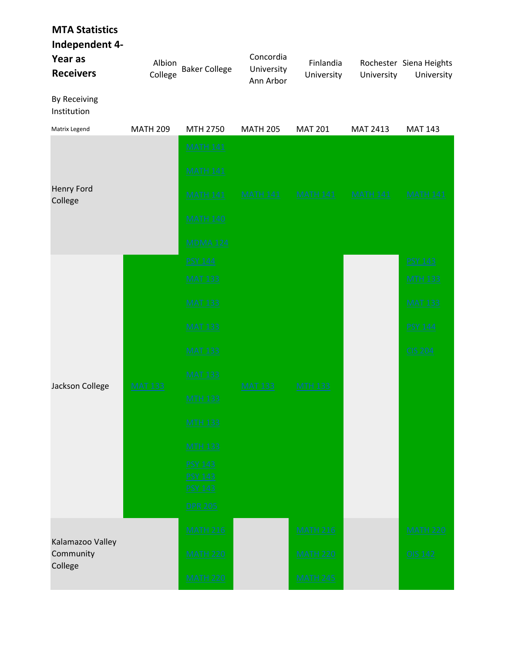| <b>MTA Statistics</b><br>Independent 4-<br>Year as<br><b>Receivers</b><br>By Receiving<br>Institution | Albion<br>College | <b>Baker College</b>                               | Concordia<br>University<br>Ann Arbor | Finlandia<br>University | University      | Rochester Siena Heights<br>University |
|-------------------------------------------------------------------------------------------------------|-------------------|----------------------------------------------------|--------------------------------------|-------------------------|-----------------|---------------------------------------|
| Matrix Legend                                                                                         | <b>MATH 209</b>   | MTH 2750                                           | <b>MATH 205</b>                      | <b>MAT 201</b>          | MAT 2413        | <b>MAT 143</b>                        |
|                                                                                                       |                   | <b>MATH 141</b>                                    |                                      |                         |                 |                                       |
|                                                                                                       |                   | <b>MATH 141</b>                                    |                                      |                         |                 |                                       |
| Henry Ford<br>College                                                                                 |                   | <b>MATH 141</b>                                    | <b>MATH 141</b>                      | <b>MATH 141</b>         | <b>MATH 141</b> | <b>MATH 141</b>                       |
|                                                                                                       |                   | <b>MATH 140</b>                                    |                                      |                         |                 |                                       |
|                                                                                                       |                   | <b>MDMA 124</b>                                    |                                      |                         |                 |                                       |
|                                                                                                       |                   | <b>PSY 144</b>                                     |                                      |                         |                 | <b>PSY 143</b>                        |
|                                                                                                       | <b>MAT 133</b>    | <b>MAT 133</b>                                     | <b>MAT 133</b>                       |                         |                 | <b>MTH 133</b>                        |
|                                                                                                       |                   | <b>MAT 133</b>                                     |                                      |                         |                 | <b>MAT 133</b>                        |
|                                                                                                       |                   | <b>MAT 133</b>                                     |                                      |                         |                 | <b>PSY 144</b>                        |
|                                                                                                       |                   | <b>MAT 133</b>                                     |                                      |                         |                 | <b>CIS 204</b>                        |
| Jackson College                                                                                       |                   | <b>MAT 133</b>                                     |                                      | <b>MTH 133</b>          |                 |                                       |
|                                                                                                       |                   | <b>MTH 133</b>                                     |                                      |                         |                 |                                       |
|                                                                                                       |                   | <b>MTH 133</b>                                     |                                      |                         |                 |                                       |
|                                                                                                       |                   | <b>MTH 133</b>                                     |                                      |                         |                 |                                       |
|                                                                                                       |                   | <b>PSY 143</b><br><b>PSY 143</b><br><b>PSY 143</b> |                                      |                         |                 |                                       |
|                                                                                                       |                   | <b>DPR 205</b>                                     |                                      |                         |                 |                                       |
|                                                                                                       |                   | <b>MATH 216</b>                                    |                                      | <b>MATH 216</b>         |                 | <b>MATH 220</b>                       |
| Kalamazoo Valley<br>Community                                                                         |                   | <b>MATH 220</b>                                    |                                      | <b>MATH 220</b>         |                 | OIS 142                               |
| College                                                                                               |                   | <b>MATH 220</b>                                    |                                      | <b>MATH 245</b>         |                 |                                       |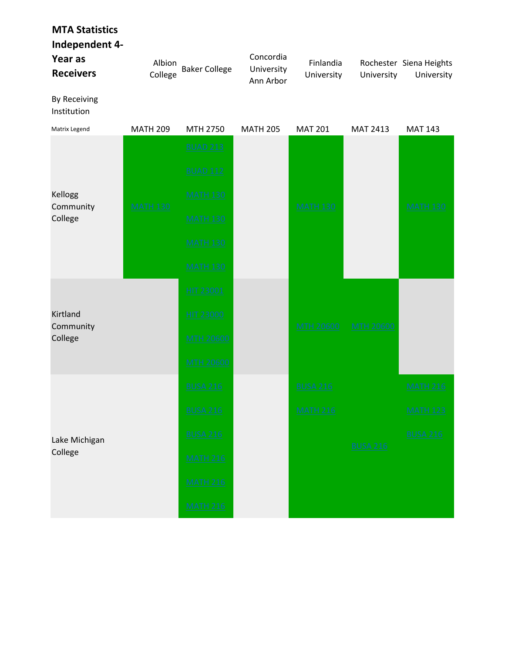| <b>MTA Statistics</b><br>Independent 4-<br>Year as<br><b>Receivers</b><br><b>By Receiving</b> | Albion<br>College | <b>Baker College</b>                                                                                           | Concordia<br>University<br>Ann Arbor | Finlandia<br>University            | University       | Rochester Siena Heights<br>University                 |
|-----------------------------------------------------------------------------------------------|-------------------|----------------------------------------------------------------------------------------------------------------|--------------------------------------|------------------------------------|------------------|-------------------------------------------------------|
| Institution<br>Matrix Legend                                                                  | <b>MATH 209</b>   | MTH 2750                                                                                                       | <b>MATH 205</b>                      | <b>MAT 201</b>                     | MAT 2413         | <b>MAT 143</b>                                        |
| Kellogg<br>Community<br>College                                                               | <b>MATH 130</b>   | <b>BUAD 213</b><br><b>BUAD 112</b><br><b>MATH 130</b><br><b>MATH 130</b><br><b>MATH 130</b><br><b>MATH 130</b> |                                      | <b>MATH 130</b>                    |                  | <b>MATH 130</b>                                       |
| Kirtland<br>Community<br>College                                                              |                   | HIT 23001<br><b>HIT 23000</b><br><b>MTH 20600</b><br><b>MTH 20600</b>                                          |                                      | <b>MTH 20600</b>                   | <b>MTH 20600</b> |                                                       |
| Lake Michigan<br>College                                                                      |                   | <b>BUSA 216</b><br><b>BUSA 216</b><br><b>BUSA 216</b><br><b>MATH 216</b><br><b>MATH 216</b><br><b>MATH 216</b> |                                      | <b>BUSA 216</b><br><b>MATH 216</b> | <b>BUSA 216</b>  | <b>MATH 216</b><br><b>MATH 123</b><br><b>BUSA 216</b> |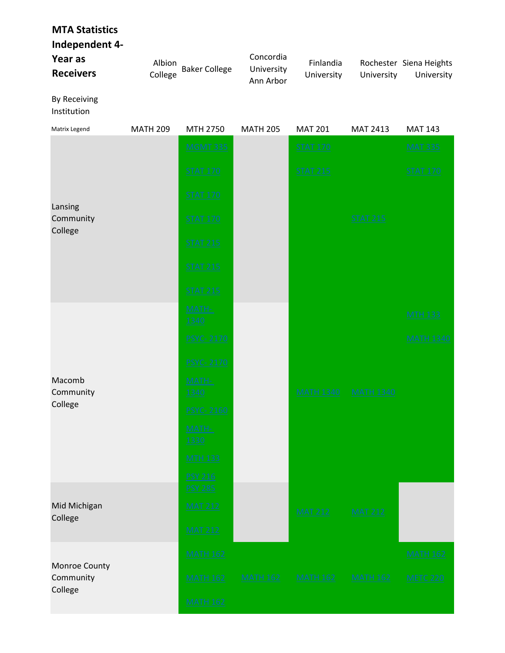## MTA Statistics

Independent 4-

| Year as<br><b>Receivers</b> | Albion<br>College | <b>Baker College</b> | Concordia<br>University<br>Ann Arbor | Finlandia<br>University | University      | Rochester Siena Heights<br>University |
|-----------------------------|-------------------|----------------------|--------------------------------------|-------------------------|-----------------|---------------------------------------|
| By Receiving<br>Institution |                   |                      |                                      |                         |                 |                                       |
| Matrix Legend               | <b>MATH 209</b>   | MTH 2750             | <b>MATH 205</b>                      | <b>MAT 201</b>          | <b>MAT 2413</b> | MAT 143                               |

| ividu ix Legeriu                      | <b>IVIATH ZUY</b> | $N \cup n \, Z \cup J \cup J$    | <b>UUAIN ZUJ</b> | <b>IVIAL ZUT</b> | KIAI 4415        | KIAI 145         |
|---------------------------------------|-------------------|----------------------------------|------------------|------------------|------------------|------------------|
|                                       |                   | <b>MGMT 335</b>                  |                  | <b>STAT 170</b>  |                  | <b>MAT 335</b>   |
|                                       |                   | <b>STAT 170</b>                  |                  | <b>STAT 215</b>  |                  | <b>STAT 170</b>  |
|                                       |                   | <b>STAT 170</b>                  |                  |                  |                  |                  |
| Lansing<br>Community<br>College       |                   | <b>STAT 170</b>                  |                  |                  | <b>STAT 215</b>  |                  |
|                                       |                   | <b>STAT 215</b>                  |                  |                  |                  |                  |
|                                       |                   | <b>STAT 215</b>                  |                  |                  |                  |                  |
|                                       |                   | <b>STAT 215</b>                  |                  |                  |                  |                  |
|                                       |                   | MATH-<br>1340                    |                  |                  |                  | <b>MTH 133</b>   |
|                                       |                   | <b>PSYC-2170</b>                 |                  |                  |                  | <b>MATH 1340</b> |
|                                       |                   | <b>PSYC-2170</b>                 |                  |                  |                  |                  |
| Macomb<br>Community                   |                   | MATH-<br>1340                    |                  | <b>MATH 1340</b> | <b>MATH 1340</b> |                  |
| College                               |                   | <b>PSYC-2160</b>                 |                  |                  |                  |                  |
|                                       |                   | MATH-<br>1330                    |                  |                  |                  |                  |
|                                       |                   | <b>MTH 133</b>                   |                  |                  |                  |                  |
|                                       |                   | <b>PSY 216</b><br><b>PSY 285</b> |                  |                  |                  |                  |
| Mid Michigan                          |                   | <b>MAT 212</b>                   |                  | <b>MAT 212</b>   | <b>MAT 212</b>   |                  |
| College                               |                   | <b>MAT 212</b>                   |                  |                  |                  |                  |
|                                       |                   | <b>MATH 162</b>                  |                  |                  |                  | <b>MATH 162</b>  |
| Monroe County<br>Community<br>College |                   | <b>MATH 162</b>                  | <b>MATH 162</b>  | <b>MATH 162</b>  | <b>MATH 162</b>  | <b>METC 220</b>  |
|                                       |                   | <b>MATH 162</b>                  |                  |                  |                  |                  |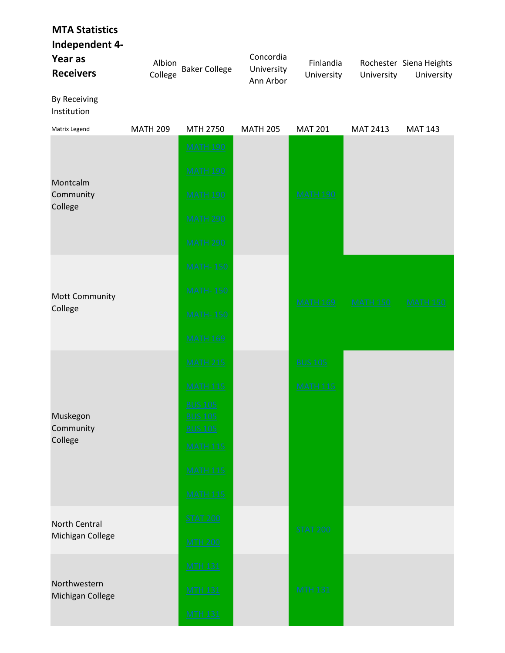| <b>MTA Statistics</b><br>Independent 4-<br>Year as<br><b>Receivers</b> | Albion<br>College | <b>Baker College</b>                                                                                                                              | Concordia<br>University<br>Ann Arbor | Finlandia<br>University           | University      | Rochester Siena Heights<br>University |
|------------------------------------------------------------------------|-------------------|---------------------------------------------------------------------------------------------------------------------------------------------------|--------------------------------------|-----------------------------------|-----------------|---------------------------------------|
| By Receiving<br>Institution                                            |                   |                                                                                                                                                   |                                      |                                   |                 |                                       |
| Matrix Legend                                                          | <b>MATH 209</b>   | MTH 2750                                                                                                                                          | <b>MATH 205</b>                      | <b>MAT 201</b>                    | MAT 2413        | <b>MAT 143</b>                        |
| Montcalm<br>Community<br>College                                       |                   | <b>MATH 190</b><br><b>MATH 190</b><br><b>MATH 190</b><br><b>MATH 290</b><br><b>MATH 290</b>                                                       |                                      | <b>MATH 190</b>                   |                 |                                       |
| Mott Community<br>College                                              |                   | <b>MATH-150</b><br><b>MATH-150</b><br><b>MATH-150</b><br><b>MATH 169</b>                                                                          |                                      | <b>MATH 169</b>                   | <b>MATH 150</b> | <b>MATH 150</b>                       |
| Muskegon<br>Community<br>College                                       |                   | <b>MATH 215</b><br><b>MATH 115</b><br><b>BUS 105</b><br><b>BUS 105</b><br><b>BUS 105</b><br><b>MATH 115</b><br><b>MATH 115</b><br><b>MATH 115</b> |                                      | <b>BUS 105</b><br><b>MATH 115</b> |                 |                                       |
| <b>North Central</b><br>Michigan College                               |                   | <b>STAT 200</b><br><b>MTH 200</b>                                                                                                                 |                                      | <b>STAT 200</b>                   |                 |                                       |
| Northwestern<br>Michigan College                                       |                   | <b>MTH 131</b><br><b>MTH 131</b><br><b>MTH 131</b>                                                                                                |                                      | <b>MTH 131</b>                    |                 |                                       |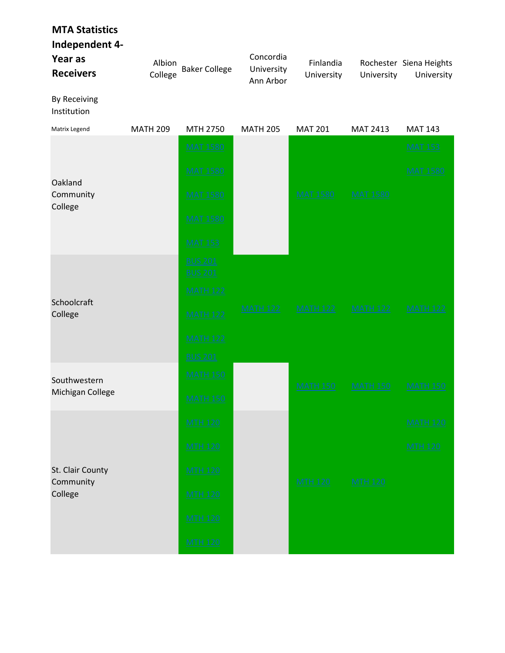| <b>MTA Statistics</b><br>Independent 4-<br>Year as<br><b>Receivers</b> | Albion<br>College | <b>Baker College</b>                                                                                        | Concordia<br>University<br>Ann Arbor | Finlandia<br>University | University      | Rochester Siena Heights<br>University |
|------------------------------------------------------------------------|-------------------|-------------------------------------------------------------------------------------------------------------|--------------------------------------|-------------------------|-----------------|---------------------------------------|
| By Receiving<br>Institution                                            |                   |                                                                                                             |                                      |                         |                 |                                       |
| Matrix Legend                                                          | <b>MATH 209</b>   | MTH 2750                                                                                                    | <b>MATH 205</b>                      | <b>MAT 201</b>          | MAT 2413        | <b>MAT 143</b>                        |
| Oakland<br>Community<br>College                                        |                   | <b>MAT 1580</b><br><b>MAT 1580</b><br><b>MAT 1580</b><br><b>MAT 1580</b><br><b>MAT 153</b>                  |                                      | <b>MAT 1580</b>         | <b>MAT 1580</b> | <b>MAT 153</b><br><b>MAT 1580</b>     |
| Schoolcraft<br>College                                                 |                   | <b>BUS 201</b><br><b>BUS 201</b><br><b>MATH 122</b><br><b>MATH 122</b><br><b>MATH 122</b><br><b>BUS 201</b> | <b>MATH 122</b>                      | <b>MATH 122</b>         | <b>MATH 122</b> | <b>MATH 122</b>                       |
| Southwestern<br>Michigan College                                       |                   | <b>MATH 150</b><br><b>MATH 150</b>                                                                          |                                      | <b>MATH 150</b>         | <b>MATH 150</b> | <b>MATH 150</b>                       |
| St. Clair County<br>Community<br>College                               |                   | <b>MTH 120</b><br><b>MTH 120</b><br><b>MTH 120</b><br><b>MTH 120</b>                                        |                                      | <b>MTH 120</b>          | <b>MTH 120</b>  | <b>MATH 120</b><br><b>MTH 120</b>     |
|                                                                        |                   | <b>MTH 120</b><br><b>MTH 120</b>                                                                            |                                      |                         |                 |                                       |